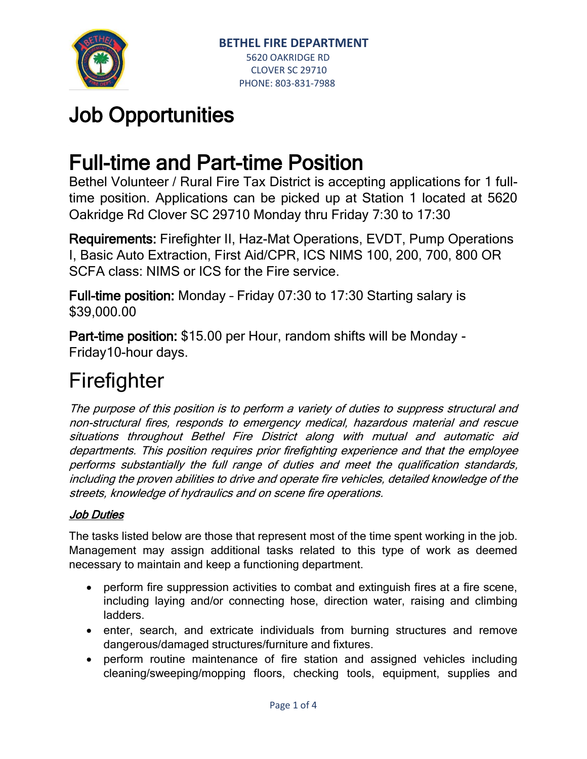

# Job Opportunities

## Full-time and Part-time Position

Bethel Volunteer / Rural Fire Tax District is accepting applications for 1 fulltime position. Applications can be picked up at Station 1 located at 5620 Oakridge Rd Clover SC 29710 Monday thru Friday 7:30 to 17:30

Requirements: Firefighter II, Haz-Mat Operations, EVDT, Pump Operations I, Basic Auto Extraction, First Aid/CPR, ICS NIMS 100, 200, 700, 800 OR SCFA class: NIMS or ICS for the Fire service.

Full-time position: Monday – Friday 07:30 to 17:30 Starting salary is \$39,000.00

Part-time position: \$15.00 per Hour, random shifts will be Monday - Friday10-hour days.

# **Firefighter**

The purpose of this position is to perform a variety of duties to suppress structural and non-structural fires, responds to emergency medical, hazardous material and rescue situations throughout Bethel Fire District along with mutual and automatic aid departments. This position requires prior firefighting experience and that the employee performs substantially the full range of duties and meet the qualification standards, including the proven abilities to drive and operate fire vehicles, detailed knowledge of the streets, knowledge of hydraulics and on scene fire operations.

### Job Duties

The tasks listed below are those that represent most of the time spent working in the job. Management may assign additional tasks related to this type of work as deemed necessary to maintain and keep a functioning department.

- perform fire suppression activities to combat and extinguish fires at a fire scene, including laying and/or connecting hose, direction water, raising and climbing ladders.
- enter, search, and extricate individuals from burning structures and remove dangerous/damaged structures/furniture and fixtures.
- perform routine maintenance of fire station and assigned vehicles including cleaning/sweeping/mopping floors, checking tools, equipment, supplies and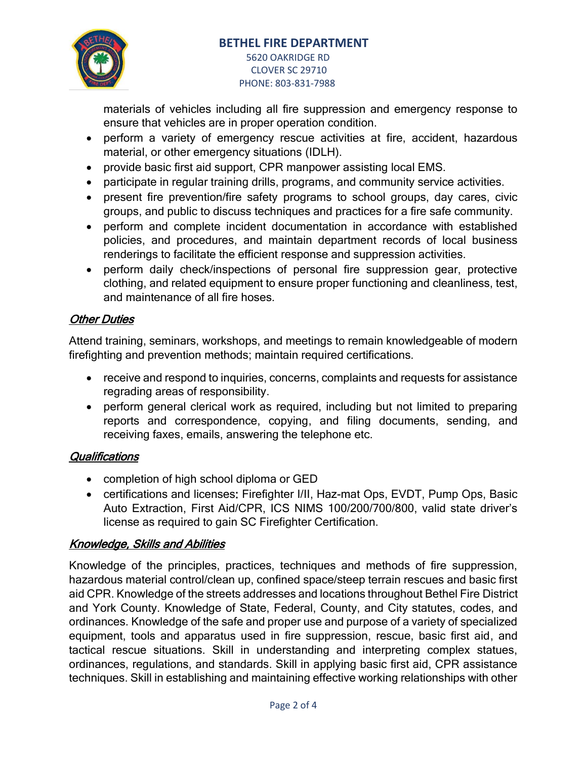

PHONE: 803-831-7988

materials of vehicles including all fire suppression and emergency response to ensure that vehicles are in proper operation condition.

- perform a variety of emergency rescue activities at fire, accident, hazardous material, or other emergency situations (IDLH).
- provide basic first aid support, CPR manpower assisting local EMS.
- participate in regular training drills, programs, and community service activities.
- present fire prevention/fire safety programs to school groups, day cares, civic groups, and public to discuss techniques and practices for a fire safe community.
- perform and complete incident documentation in accordance with established policies, and procedures, and maintain department records of local business renderings to facilitate the efficient response and suppression activities.
- perform daily check/inspections of personal fire suppression gear, protective clothing, and related equipment to ensure proper functioning and cleanliness, test, and maintenance of all fire hoses.

#### **Other Duties**

Attend training, seminars, workshops, and meetings to remain knowledgeable of modern firefighting and prevention methods; maintain required certifications.

- receive and respond to inquiries, concerns, complaints and requests for assistance regrading areas of responsibility.
- perform general clerical work as required, including but not limited to preparing reports and correspondence, copying, and filing documents, sending, and receiving faxes, emails, answering the telephone etc.

#### **Qualifications**

- completion of high school diploma or GED
- certifications and licenses: Firefighter I/II, Haz-mat Ops, EVDT, Pump Ops, Basic Auto Extraction, First Aid/CPR, ICS NIMS 100/200/700/800, valid state driver's license as required to gain SC Firefighter Certification.

#### Knowledge, Skills and Abilities

Knowledge of the principles, practices, techniques and methods of fire suppression, hazardous material control/clean up, confined space/steep terrain rescues and basic first aid CPR. Knowledge of the streets addresses and locations throughout Bethel Fire District and York County. Knowledge of State, Federal, County, and City statutes, codes, and ordinances. Knowledge of the safe and proper use and purpose of a variety of specialized equipment, tools and apparatus used in fire suppression, rescue, basic first aid, and tactical rescue situations. Skill in understanding and interpreting complex statues, ordinances, regulations, and standards. Skill in applying basic first aid, CPR assistance techniques. Skill in establishing and maintaining effective working relationships with other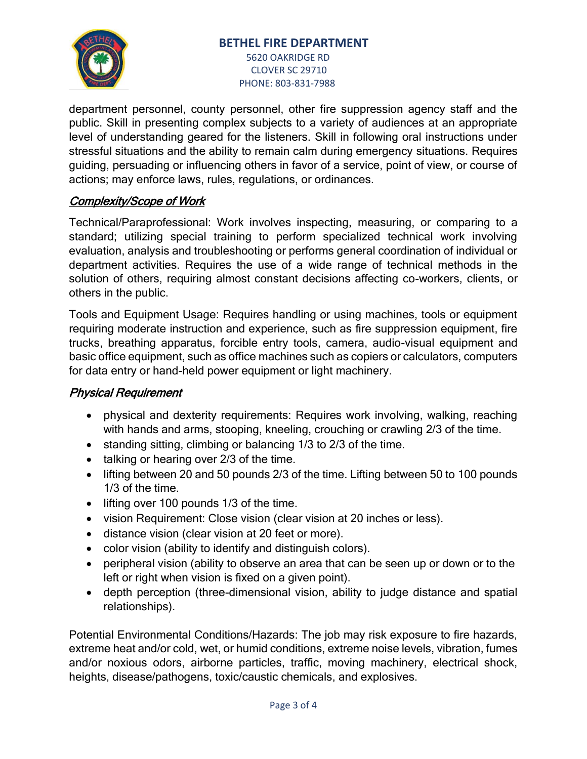#### **BETHEL FIRE DEPARTMENT**



#### 5620 OAKRIDGE RD CLOVER SC 29710 PHONE: 803-831-7988

department personnel, county personnel, other fire suppression agency staff and the public. Skill in presenting complex subjects to a variety of audiences at an appropriate level of understanding geared for the listeners. Skill in following oral instructions under stressful situations and the ability to remain calm during emergency situations. Requires guiding, persuading or influencing others in favor of a service, point of view, or course of actions; may enforce laws, rules, regulations, or ordinances.

### Complexity/Scope of Work

Technical/Paraprofessional: Work involves inspecting, measuring, or comparing to a standard; utilizing special training to perform specialized technical work involving evaluation, analysis and troubleshooting or performs general coordination of individual or department activities. Requires the use of a wide range of technical methods in the solution of others, requiring almost constant decisions affecting co-workers, clients, or others in the public.

Tools and Equipment Usage: Requires handling or using machines, tools or equipment requiring moderate instruction and experience, such as fire suppression equipment, fire trucks, breathing apparatus, forcible entry tools, camera, audio-visual equipment and basic office equipment, such as office machines such as copiers or calculators, computers for data entry or hand-held power equipment or light machinery.

#### Physical Requirement

- physical and dexterity requirements: Requires work involving, walking, reaching with hands and arms, stooping, kneeling, crouching or crawling 2/3 of the time.
- standing sitting, climbing or balancing 1/3 to 2/3 of the time.
- talking or hearing over 2/3 of the time.
- lifting between 20 and 50 pounds 2/3 of the time. Lifting between 50 to 100 pounds 1/3 of the time.
- lifting over 100 pounds 1/3 of the time.
- vision Requirement: Close vision (clear vision at 20 inches or less).
- distance vision (clear vision at 20 feet or more).
- color vision (ability to identify and distinguish colors).
- peripheral vision (ability to observe an area that can be seen up or down or to the left or right when vision is fixed on a given point).
- depth perception (three-dimensional vision, ability to judge distance and spatial relationships).

Potential Environmental Conditions/Hazards: The job may risk exposure to fire hazards, extreme heat and/or cold, wet, or humid conditions, extreme noise levels, vibration, fumes and/or noxious odors, airborne particles, traffic, moving machinery, electrical shock, heights, disease/pathogens, toxic/caustic chemicals, and explosives.